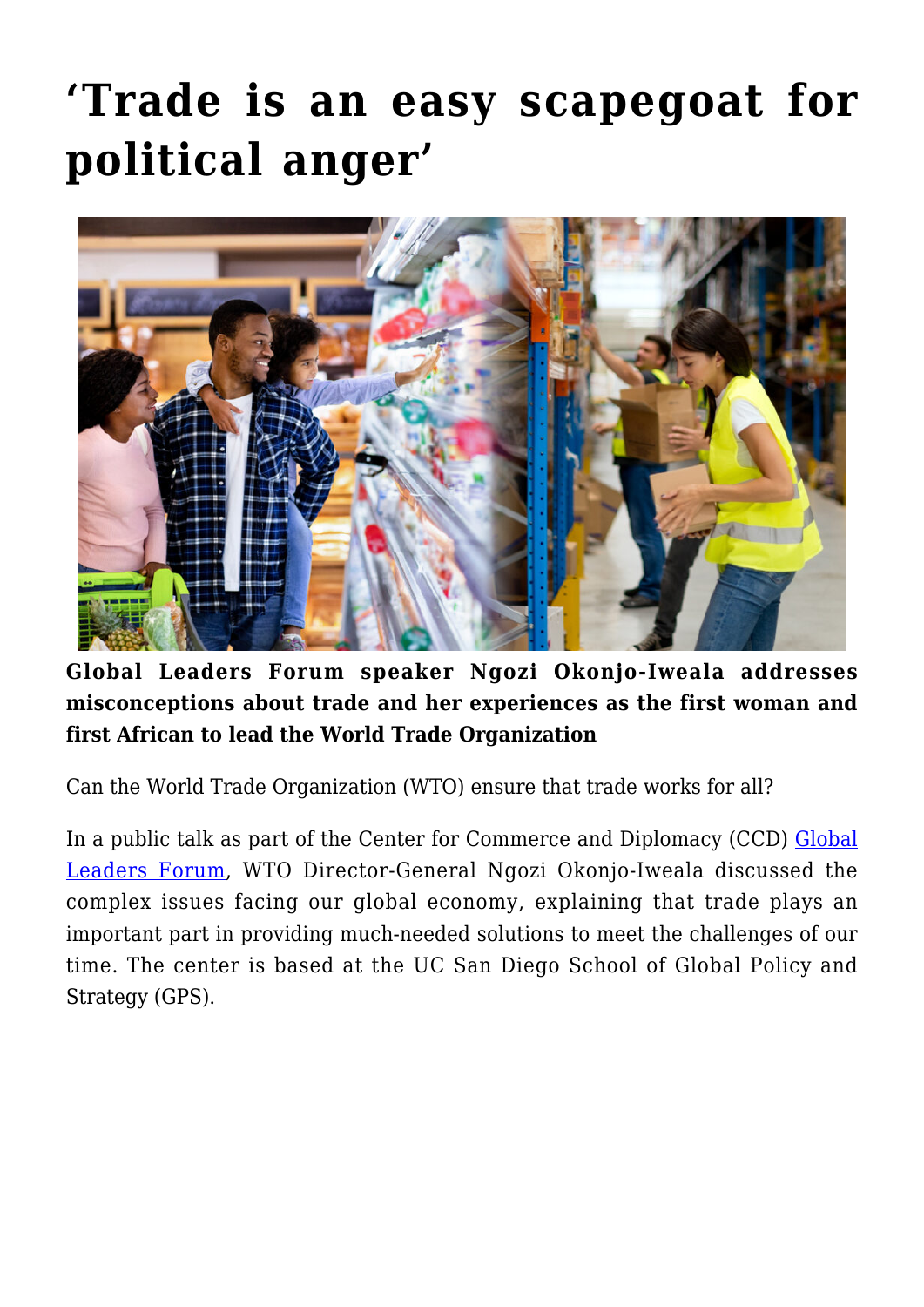## **['Trade is an easy scapegoat for](https://gpsnews.ucsd.edu/trade-is-an-easy-scapegoat-for-political-anger/) [political anger'](https://gpsnews.ucsd.edu/trade-is-an-easy-scapegoat-for-political-anger/)**



**Global Leaders Forum speaker Ngozi Okonjo-Iweala addresses misconceptions about trade and her experiences as the first woman and first African to lead the World Trade Organization** 

Can the World Trade Organization (WTO) ensure that trade works for all?

In a public talk as part of the Center for Commerce and Diplomacy (CCD) [Global](https://ccd.ucsd.edu/events/global-leaders-forum.html) [Leaders Forum](https://ccd.ucsd.edu/events/global-leaders-forum.html), WTO Director-General Ngozi Okonjo-Iweala discussed the complex issues facing our global economy, explaining that trade plays an important part in providing much-needed solutions to meet the challenges of our time. The center is based at the UC San Diego School of Global Policy and Strategy (GPS).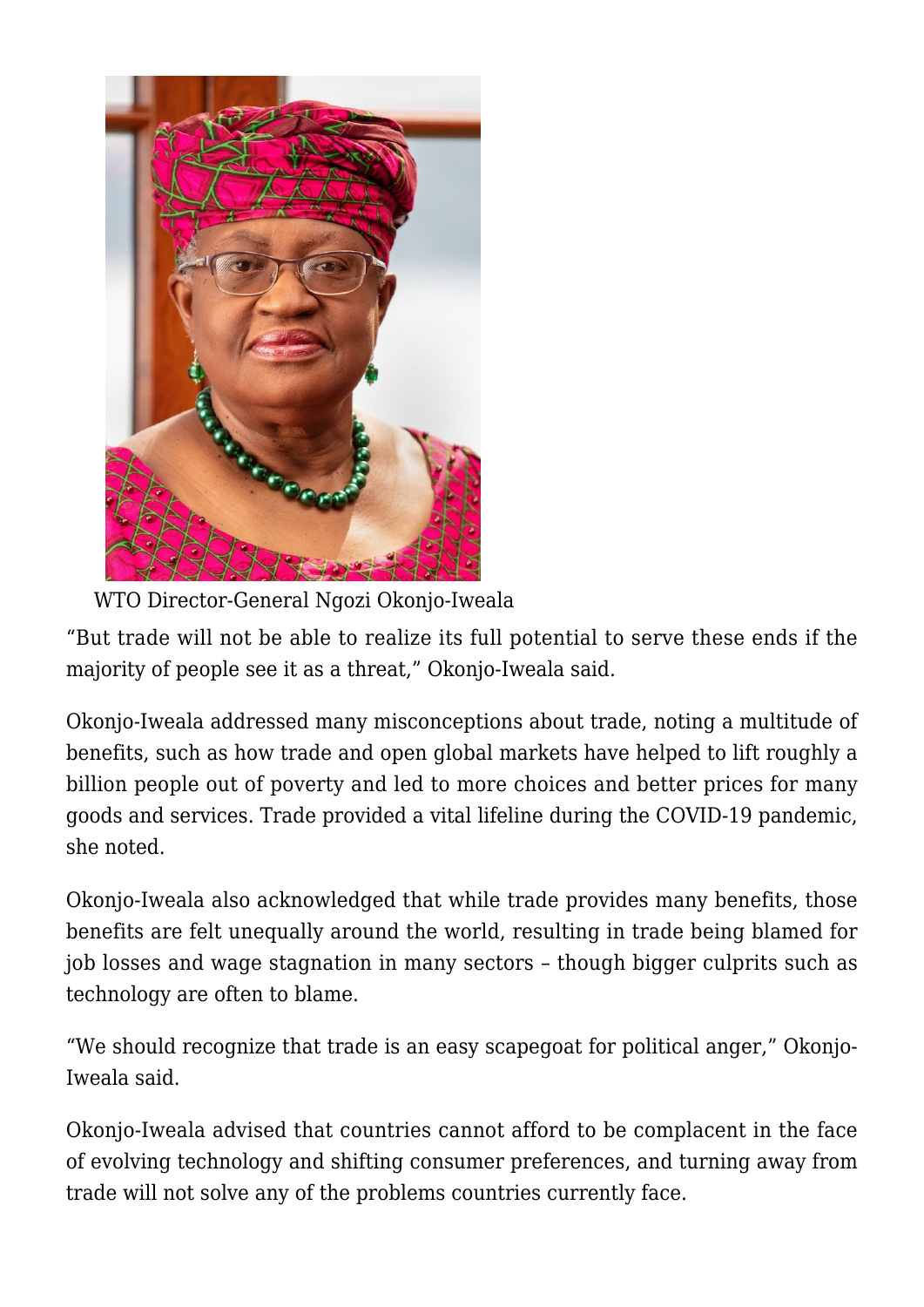

WTO Director-General Ngozi Okonjo-Iweala

"But trade will not be able to realize its full potential to serve these ends if the majority of people see it as a threat," Okonjo-Iweala said.

Okonjo-Iweala addressed many misconceptions about trade, noting a multitude of benefits, such as how trade and open global markets have helped to lift roughly a billion people out of poverty and led to more choices and better prices for many goods and services. Trade provided a vital lifeline during the COVID-19 pandemic, she noted.

Okonjo-Iweala also acknowledged that while trade provides many benefits, those benefits are felt unequally around the world, resulting in trade being blamed for job losses and wage stagnation in many sectors – though bigger culprits such as technology are often to blame.

"We should recognize that trade is an easy scapegoat for political anger," Okonjo-Iweala said.

Okonjo-Iweala advised that countries cannot afford to be complacent in the face of evolving technology and shifting consumer preferences, and turning away from trade will not solve any of the problems countries currently face.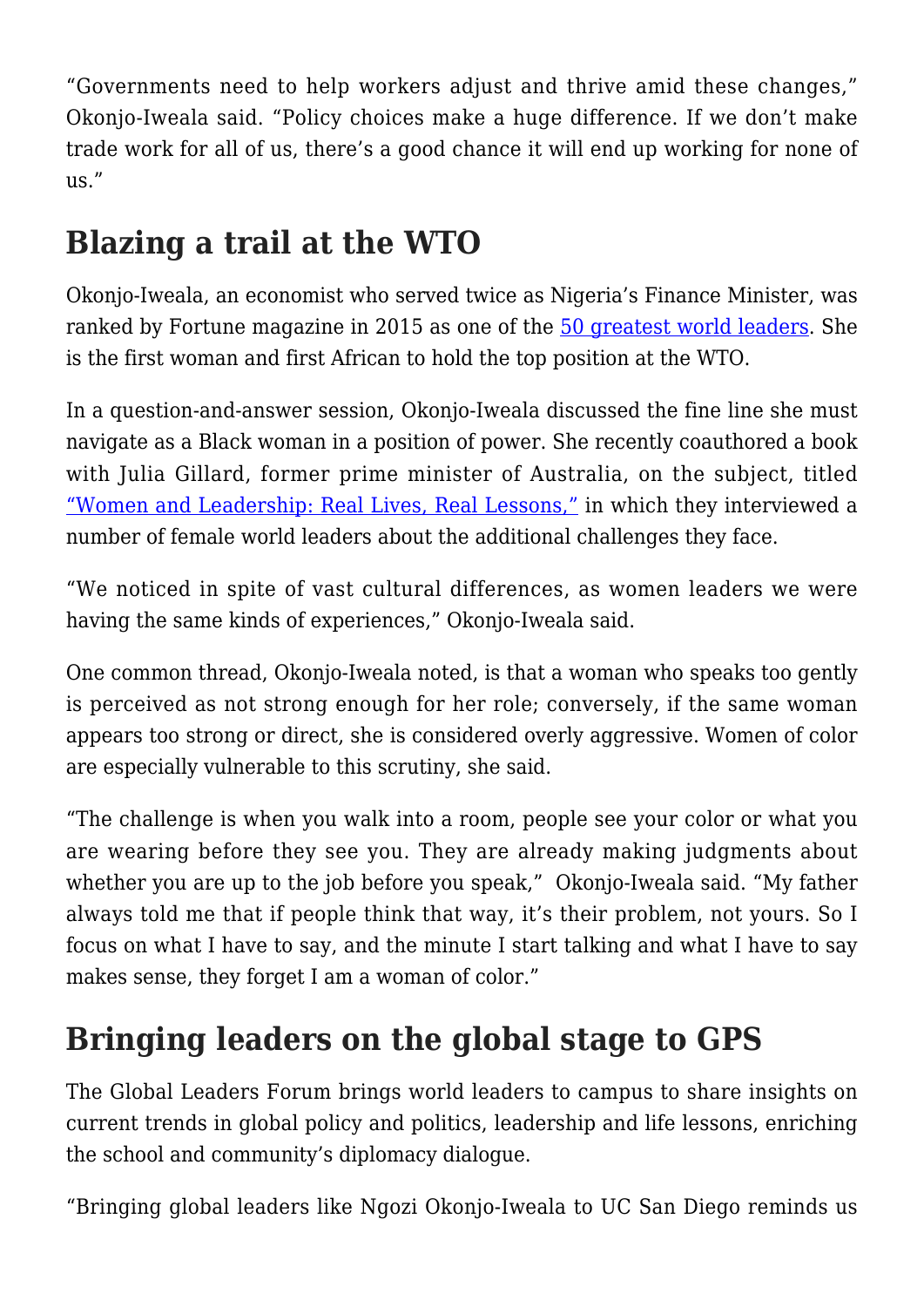"Governments need to help workers adjust and thrive amid these changes," Okonjo-Iweala said. "Policy choices make a huge difference. If we don't make trade work for all of us, there's a good chance it will end up working for none of us."

## **Blazing a trail at the WTO**

Okonjo-Iweala, an economist who served twice as Nigeria's Finance Minister, was ranked by Fortune magazine in 2015 as one of the [50 greatest world leaders](https://fortune.com/worlds-greatest-leaders/2015/ngozi-okonjo-iweala/). She is the first woman and first African to hold the top position at the WTO.

In a question-and-answer session, Okonjo-Iweala discussed the fine line she must navigate as a Black woman in a position of power. She recently coauthored a book with Julia Gillard, former prime minister of Australia, on the subject, titled ["Women and Leadership: Real Lives, Real Lessons,"](https://bookshop.org/books/women-and-leadership-real-lives-real-lessons/9780262045742) in which they interviewed a number of female world leaders about the additional challenges they face.

"We noticed in spite of vast cultural differences, as women leaders we were having the same kinds of experiences," Okonjo-Iweala said.

One common thread, Okonjo-Iweala noted, is that a woman who speaks too gently is perceived as not strong enough for her role; conversely, if the same woman appears too strong or direct, she is considered overly aggressive. Women of color are especially vulnerable to this scrutiny, she said.

"The challenge is when you walk into a room, people see your color or what you are wearing before they see you. They are already making judgments about whether you are up to the job before you speak," Okonjo-Iweala said. "My father always told me that if people think that way, it's their problem, not yours. So I focus on what I have to say, and the minute I start talking and what I have to say makes sense, they forget I am a woman of color."

## **Bringing leaders on the global stage to GPS**

The Global Leaders Forum brings world leaders to campus to share insights on current trends in global policy and politics, leadership and life lessons, enriching the school and community's diplomacy dialogue.

"Bringing global leaders like Ngozi Okonjo-Iweala to UC San Diego reminds us